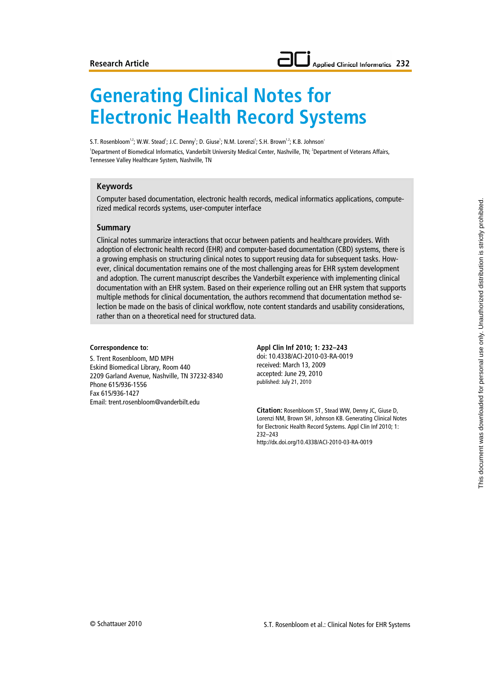# **Generating Clinical Notes for Electronic Health Record Systems**

S.T. Rosenbloom<sup>1,2</sup>; W.W. Stead<sup>1</sup>; J.C. Denny<sup>1</sup>; D. Giuse<sup>1</sup>; N.M. Lorenzi<sup>1</sup>; S.H. Brown<sup>1,2</sup>; K.B. Johnson<sup>1</sup> <sup>1</sup>Department of Biomedical Informatics, Vanderbilt University Medical Center, Nashville, TN; <sup>2</sup>Department of Veterans Affairs, Tennessee Valley Healthcare System, Nashville, TN

## **Keywords**

Computer based documentation, electronic health records, medical informatics applications, computerized medical records systems, user-computer interface

## **Summary**

Clinical notes summarize interactions that occur between patients and healthcare providers. With adoption of electronic health record (EHR) and computer-based documentation (CBD) systems, there is a growing emphasis on structuring clinical notes to support reusing data for subsequent tasks. However, clinical documentation remains one of the most challenging areas for EHR system development and adoption. The current manuscript describes the Vanderbilt experience with implementing clinical documentation with an EHR system. Based on their experience rolling out an EHR system that supports multiple methods for clinical documentation, the authors recommend that documentation method selection be made on the basis of clinical workflow, note content standards and usability considerations, rather than on a theoretical need for structured data.

#### **Correspondence to:**

S. Trent Rosenbloom, MD MPH Eskind Biomedical Library, Room 440 2209 Garland Avenue, Nashville, TN 37232-8340 Phone 615/936-1556 Fax 615/936-1427 Email: trent.rosenbloom@vanderbilt.edu

#### **Appl Clin Inf 2010; 1: 232–243**

doi: 10.4338/ACI-2010-03-RA-0019 received: March 13, 2009 accepted: June 29, 2010 published: July 21, 2010

**Citation:** Rosenbloom ST , Stead WW, Denny JC, Giuse D, Lorenzi NM, Brown SH, Johnson KB. Generating Clinical Notes for Electronic Health Record Systems. Appl Clin Inf 2010; 1: 232–243 http://dx.doi.org/10.4338/ACI-2010-03-RA-0019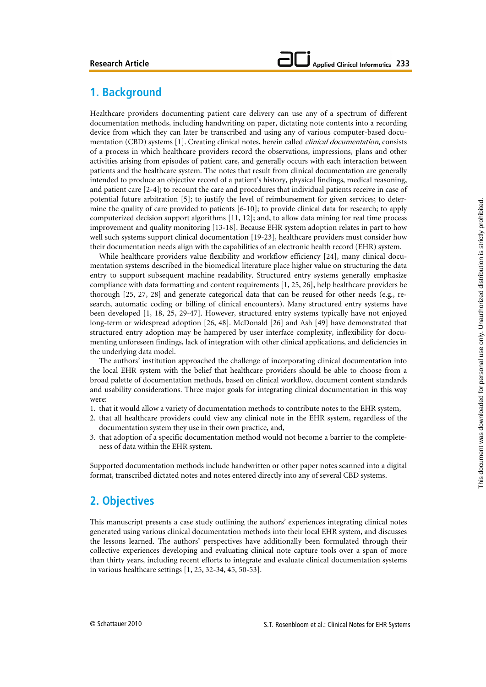# **1. Background**

Healthcare providers documenting patient care delivery can use any of a spectrum of different documentation methods, including handwriting on paper, dictating note contents into a recording device from which they can later be transcribed and using any of various computer-based documentation (CBD) systems [1]. Creating clinical notes, herein called *clinical documentation*, consists of a process in which healthcare providers record the observations, impressions, plans and other activities arising from episodes of patient care, and generally occurs with each interaction between patients and the healthcare system. The notes that result from clinical documentation are generally intended to produce an objective record of a patient's history, physical findings, medical reasoning, and patient care [2-4]; to recount the care and procedures that individual patients receive in case of potential future arbitration [5]; to justify the level of reimbursement for given services; to determine the quality of care provided to patients [6-10]; to provide clinical data for research; to apply computerized decision support algorithms [11, 12]; and, to allow data mining for real time process improvement and quality monitoring [13-18]. Because EHR system adoption relates in part to how well such systems support clinical documentation [19-23], healthcare providers must consider how their documentation needs align with the capabilities of an electronic health record (EHR) system.

While healthcare providers value flexibility and workflow efficiency [24], many clinical documentation systems described in the biomedical literature place higher value on structuring the data entry to support subsequent machine readability. Structured entry systems generally emphasize compliance with data formatting and content requirements [1, 25, 26], help healthcare providers be thorough [25, 27, 28] and generate categorical data that can be reused for other needs (e.g., research, automatic coding or billing of clinical encounters). Many structured entry systems have been developed [1, 18, 25, 29-47]. However, structured entry systems typically have not enjoyed long-term or widespread adoption [26, 48]. McDonald [26] and Ash [49] have demonstrated that structured entry adoption may be hampered by user interface complexity, inflexibility for documenting unforeseen findings, lack of integration with other clinical applications, and deficiencies in the underlying data model.

The authors' institution approached the challenge of incorporating clinical documentation into the local EHR system with the belief that healthcare providers should be able to choose from a broad palette of documentation methods, based on clinical workflow, document content standards and usability considerations. Three major goals for integrating clinical documentation in this way were:

- 1. that it would allow a variety of documentation methods to contribute notes to the EHR system,
- 2. that all healthcare providers could view any clinical note in the EHR system, regardless of the documentation system they use in their own practice, and,
- 3. that adoption of a specific documentation method would not become a barrier to the completeness of data within the EHR system.

Supported documentation methods include handwritten or other paper notes scanned into a digital format, transcribed dictated notes and notes entered directly into any of several CBD systems.

# **2. Objectives**

This manuscript presents a case study outlining the authors' experiences integrating clinical notes generated using various clinical documentation methods into their local EHR system, and discusses the lessons learned. The authors' perspectives have additionally been formulated through their collective experiences developing and evaluating clinical note capture tools over a span of more than thirty years, including recent efforts to integrate and evaluate clinical documentation systems in various healthcare settings [1, 25, 32-34, 45, 50-53].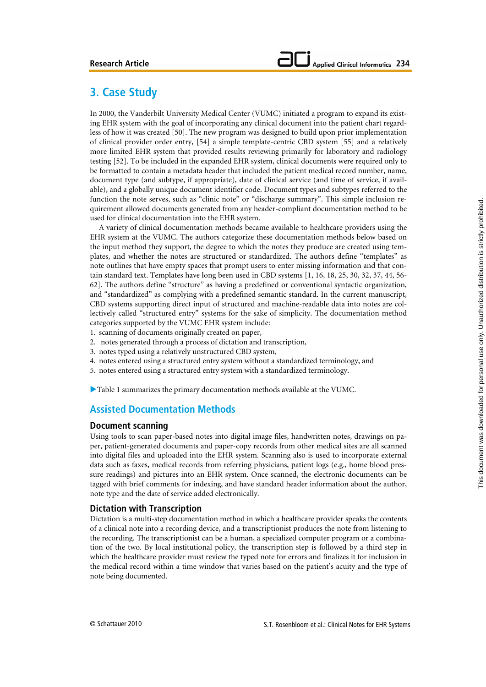# **3. Case Study**

In 2000, the Vanderbilt University Medical Center (VUMC) initiated a program to expand its existing EHR system with the goal of incorporating any clinical document into the patient chart regardless of how it was created [50]. The new program was designed to build upon prior implementation of clinical provider order entry, [54] a simple template-centric CBD system [55] and a relatively more limited EHR system that provided results reviewing primarily for laboratory and radiology testing [52]. To be included in the expanded EHR system, clinical documents were required only to be formatted to contain a metadata header that included the patient medical record number, name, document type (and subtype, if appropriate), date of clinical service (and time of service, if available), and a globally unique document identifier code. Document types and subtypes referred to the function the note serves, such as "clinic note" or "discharge summary". This simple inclusion requirement allowed documents generated from any header-compliant documentation method to be used for clinical documentation into the EHR system.

A variety of clinical documentation methods became available to healthcare providers using the EHR system at the VUMC. The authors categorize these documentation methods below based on the input method they support, the degree to which the notes they produce are created using templates, and whether the notes are structured or standardized. The authors define "templates" as note outlines that have empty spaces that prompt users to enter missing information and that contain standard text. Templates have long been used in CBD systems [1, 16, 18, 25, 30, 32, 37, 44, 56- 62]. The authors define "structure" as having a predefined or conventional syntactic organization, and "standardized" as complying with a predefined semantic standard. In the current manuscript, CBD systems supporting direct input of structured and machine-readable data into notes are collectively called "structured entry" systems for the sake of simplicity. The documentation method categories supported by the VUMC EHR system include:

- 1. scanning of documents originally created on paper,
- 2. notes generated through a process of dictation and transcription,
- 3. notes typed using a relatively unstructured CBD system,
- 4. notes entered using a structured entry system without a standardized terminology, and
- 5. notes entered using a structured entry system with a standardized terminology.

 $\blacktriangleright$  Table 1 summarizes the primary documentation methods available at the VUMC.

# **Assisted Documentation Methods**

### **Document scanning**

Using tools to scan paper-based notes into digital image files, handwritten notes, drawings on paper, patient-generated documents and paper-copy records from other medical sites are all scanned into digital files and uploaded into the EHR system. Scanning also is used to incorporate external data such as faxes, medical records from referring physicians, patient logs (e.g., home blood pressure readings) and pictures into an EHR system. Once scanned, the electronic documents can be tagged with brief comments for indexing, and have standard header information about the author, note type and the date of service added electronically.

## **Dictation with Transcription**

Dictation is a multi-step documentation method in which a healthcare provider speaks the contents of a clinical note into a recording device, and a transcriptionist produces the note from listening to the recording. The transcriptionist can be a human, a specialized computer program or a combination of the two. By local institutional policy, the transcription step is followed by a third step in which the healthcare provider must review the typed note for errors and finalizes it for inclusion in the medical record within a time window that varies based on the patient's acuity and the type of note being documented.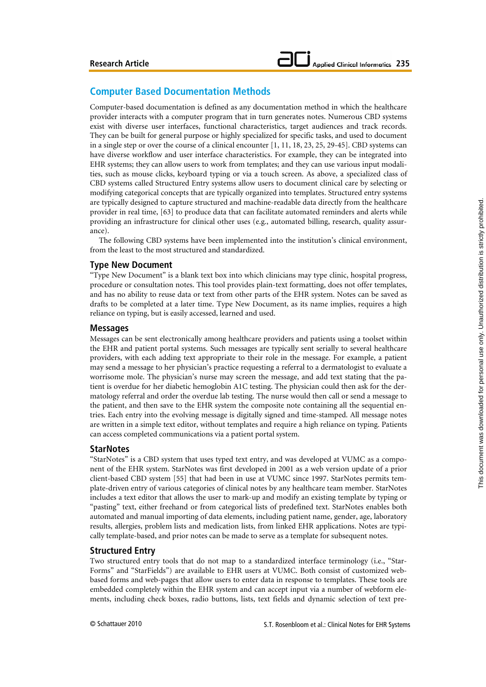# **Computer Based Documentation Methods**

Computer-based documentation is defined as any documentation method in which the healthcare provider interacts with a computer program that in turn generates notes. Numerous CBD systems exist with diverse user interfaces, functional characteristics, target audiences and track records. They can be built for general purpose or highly specialized for specific tasks, and used to document in a single step or over the course of a clinical encounter [1, 11, 18, 23, 25, 29-45]. CBD systems can have diverse workflow and user interface characteristics. For example, they can be integrated into EHR systems; they can allow users to work from templates; and they can use various input modalities, such as mouse clicks, keyboard typing or via a touch screen. As above, a specialized class of CBD systems called Structured Entry systems allow users to document clinical care by selecting or modifying categorical concepts that are typically organized into templates. Structured entry systems are typically designed to capture structured and machine-readable data directly from the healthcare provider in real time, [63] to produce data that can facilitate automated reminders and alerts while providing an infrastructure for clinical other uses (e.g., automated billing, research, quality assurance).

The following CBD systems have been implemented into the institution's clinical environment, from the least to the most structured and standardized.

## **Type New Document**

"Type New Document" is a blank text box into which clinicians may type clinic, hospital progress, procedure or consultation notes. This tool provides plain-text formatting, does not offer templates, and has no ability to reuse data or text from other parts of the EHR system. Notes can be saved as drafts to be completed at a later time. Type New Document, as its name implies, requires a high reliance on typing, but is easily accessed, learned and used.

## **Messages**

Messages can be sent electronically among healthcare providers and patients using a toolset within the EHR and patient portal systems. Such messages are typically sent serially to several healthcare providers, with each adding text appropriate to their role in the message. For example, a patient may send a message to her physician's practice requesting a referral to a dermatologist to evaluate a worrisome mole. The physician's nurse may screen the message, and add text stating that the patient is overdue for her diabetic hemoglobin A1C testing. The physician could then ask for the dermatology referral and order the overdue lab testing. The nurse would then call or send a message to the patient, and then save to the EHR system the composite note containing all the sequential entries. Each entry into the evolving message is digitally signed and time-stamped. All message notes are written in a simple text editor, without templates and require a high reliance on typing. Patients can access completed communications via a patient portal system.

#### **StarNotes**

"StarNotes" is a CBD system that uses typed text entry, and was developed at VUMC as a component of the EHR system. StarNotes was first developed in 2001 as a web version update of a prior client-based CBD system [55] that had been in use at VUMC since 1997. StarNotes permits template-driven entry of various categories of clinical notes by any healthcare team member. StarNotes includes a text editor that allows the user to mark-up and modify an existing template by typing or "pasting" text, either freehand or from categorical lists of predefined text. StarNotes enables both automated and manual importing of data elements, including patient name, gender, age, laboratory results, allergies, problem lists and medication lists, from linked EHR applications. Notes are typically template-based, and prior notes can be made to serve as a template for subsequent notes.

### **Structured Entry**

Two structured entry tools that do not map to a standardized interface terminology (i.e., "Star-Forms" and "StarFields") are available to EHR users at VUMC. Both consist of customized webbased forms and web-pages that allow users to enter data in response to templates. These tools are embedded completely within the EHR system and can accept input via a number of webform elements, including check boxes, radio buttons, lists, text fields and dynamic selection of text pre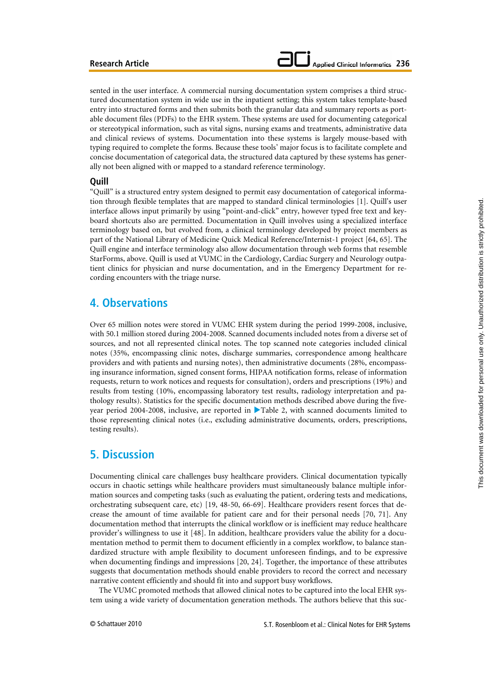sented in the user interface. A commercial nursing documentation system comprises a third structured documentation system in wide use in the inpatient setting; this system takes template-based entry into structured forms and then submits both the granular data and summary reports as portable document files (PDFs) to the EHR system. These systems are used for documenting categorical or stereotypical information, such as vital signs, nursing exams and treatments, administrative data and clinical reviews of systems. Documentation into these systems is largely mouse-based with typing required to complete the forms. Because these tools' major focus is to facilitate complete and concise documentation of categorical data, the structured data captured by these systems has generally not been aligned with or mapped to a standard reference terminology.

## **Quill**

"Quill" is a structured entry system designed to permit easy documentation of categorical information through flexible templates that are mapped to standard clinical terminologies [1]. Quill's user interface allows input primarily by using "point-and-click" entry, however typed free text and keyboard shortcuts also are permitted. Documentation in Quill involves using a specialized interface terminology based on, but evolved from, a clinical terminology developed by project members as part of the National Library of Medicine Quick Medical Reference/Internist-1 project [64, 65]. The Quill engine and interface terminology also allow documentation through web forms that resemble StarForms, above. Quill is used at VUMC in the Cardiology, Cardiac Surgery and Neurology outpatient clinics for physician and nurse documentation, and in the Emergency Department for recording encounters with the triage nurse.

# **4. Observations**

Over 65 million notes were stored in VUMC EHR system during the period 1999-2008, inclusive, with 50.1 million stored during 2004-2008. Scanned documents included notes from a diverse set of sources, and not all represented clinical notes. The top scanned note categories included clinical notes (35%, encompassing clinic notes, discharge summaries, correspondence among healthcare providers and with patients and nursing notes), then administrative documents (28%, encompassing insurance information, signed consent forms, HIPAA notification forms, release of information requests, return to work notices and requests for consultation), orders and prescriptions (19%) and results from testing (10%, encompassing laboratory test results, radiology interpretation and pathology results). Statistics for the specific documentation methods described above during the fiveyear period 2004-2008, inclusive, are reported in XTable 2, with scanned documents limited to those representing clinical notes (i.e., excluding administrative documents, orders, prescriptions, testing results).

# **5. Discussion**

Documenting clinical care challenges busy healthcare providers. Clinical documentation typically occurs in chaotic settings while healthcare providers must simultaneously balance multiple information sources and competing tasks (such as evaluating the patient, ordering tests and medications, orchestrating subsequent care, etc) [19, 48-50, 66-69]. Healthcare providers resent forces that decrease the amount of time available for patient care and for their personal needs [70, 71]. Any documentation method that interrupts the clinical workflow or is inefficient may reduce healthcare provider's willingness to use it [48]. In addition, healthcare providers value the ability for a documentation method to permit them to document efficiently in a complex workflow, to balance standardized structure with ample flexibility to document unforeseen findings, and to be expressive when documenting findings and impressions [20, 24]. Together, the importance of these attributes suggests that documentation methods should enable providers to record the correct and necessary narrative content efficiently and should fit into and support busy workflows.

The VUMC promoted methods that allowed clinical notes to be captured into the local EHR system using a wide variety of documentation generation methods. The authors believe that this suc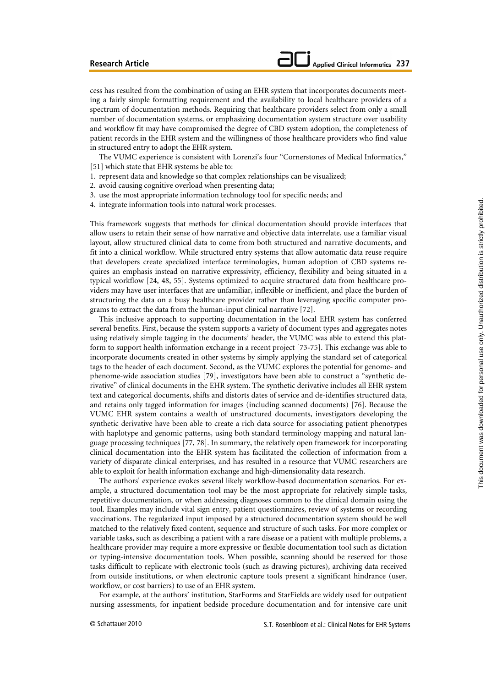cess has resulted from the combination of using an EHR system that incorporates documents meeting a fairly simple formatting requirement and the availability to local healthcare providers of a spectrum of documentation methods. Requiring that healthcare providers select from only a small number of documentation systems, or emphasizing documentation system structure over usability and workflow fit may have compromised the degree of CBD system adoption, the completeness of patient records in the EHR system and the willingness of those healthcare providers who find value in structured entry to adopt the EHR system.

The VUMC experience is consistent with Lorenzi's four "Cornerstones of Medical Informatics," [51] which state that EHR systems be able to:

- 1. represent data and knowledge so that complex relationships can be visualized;
- 2. avoid causing cognitive overload when presenting data;
- 3. use the most appropriate information technology tool for specific needs; and
- 4. integrate information tools into natural work processes.

This framework suggests that methods for clinical documentation should provide interfaces that allow users to retain their sense of how narrative and objective data interrelate, use a familiar visual layout, allow structured clinical data to come from both structured and narrative documents, and fit into a clinical workflow. While structured entry systems that allow automatic data reuse require that developers create specialized interface terminologies, human adoption of CBD systems requires an emphasis instead on narrative expressivity, efficiency, flexibility and being situated in a typical workflow [24, 48, 55]. Systems optimized to acquire structured data from healthcare providers may have user interfaces that are unfamiliar, inflexible or inefficient, and place the burden of structuring the data on a busy healthcare provider rather than leveraging specific computer programs to extract the data from the human-input clinical narrative [72].

This inclusive approach to supporting documentation in the local EHR system has conferred several benefits. First, because the system supports a variety of document types and aggregates notes using relatively simple tagging in the documents' header, the VUMC was able to extend this platform to support health information exchange in a recent project [73-75]. This exchange was able to incorporate documents created in other systems by simply applying the standard set of categorical tags to the header of each document. Second, as the VUMC explores the potential for genome- and phenome-wide association studies [79], investigators have been able to construct a "synthetic derivative" of clinical documents in the EHR system. The synthetic derivative includes all EHR system text and categorical documents, shifts and distorts dates of service and de-identifies structured data, and retains only tagged information for images (including scanned documents) [76]. Because the VUMC EHR system contains a wealth of unstructured documents, investigators developing the synthetic derivative have been able to create a rich data source for associating patient phenotypes with haplotype and genomic patterns, using both standard terminology mapping and natural language processing techniques [77, 78]. In summary, the relatively open framework for incorporating clinical documentation into the EHR system has facilitated the collection of information from a variety of disparate clinical enterprises, and has resulted in a resource that VUMC researchers are able to exploit for health information exchange and high-dimensionality data research.

The authors' experience evokes several likely workflow-based documentation scenarios. For example, a structured documentation tool may be the most appropriate for relatively simple tasks, repetitive documentation, or when addressing diagnoses common to the clinical domain using the tool. Examples may include vital sign entry, patient questionnaires, review of systems or recording vaccinations. The regularized input imposed by a structured documentation system should be well matched to the relatively fixed content, sequence and structure of such tasks. For more complex or variable tasks, such as describing a patient with a rare disease or a patient with multiple problems, a healthcare provider may require a more expressive or flexible documentation tool such as dictation or typing-intensive documentation tools. When possible, scanning should be reserved for those tasks difficult to replicate with electronic tools (such as drawing pictures), archiving data received from outside institutions, or when electronic capture tools present a significant hindrance (user, workflow, or cost barriers) to use of an EHR system.

For example, at the authors' institution, StarForms and StarFields are widely used for outpatient nursing assessments, for inpatient bedside procedure documentation and for intensive care unit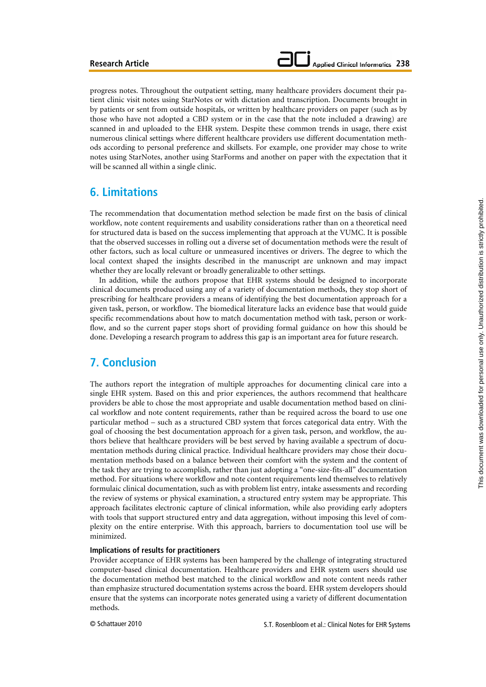progress notes. Throughout the outpatient setting, many healthcare providers document their patient clinic visit notes using StarNotes or with dictation and transcription. Documents brought in by patients or sent from outside hospitals, or written by healthcare providers on paper (such as by those who have not adopted a CBD system or in the case that the note included a drawing) are scanned in and uploaded to the EHR system. Despite these common trends in usage, there exist numerous clinical settings where different healthcare providers use different documentation methods according to personal preference and skillsets. For example, one provider may chose to write notes using StarNotes, another using StarForms and another on paper with the expectation that it will be scanned all within a single clinic.

# **6. Limitations**

The recommendation that documentation method selection be made first on the basis of clinical workflow, note content requirements and usability considerations rather than on a theoretical need for structured data is based on the success implementing that approach at the VUMC. It is possible that the observed successes in rolling out a diverse set of documentation methods were the result of other factors, such as local culture or unmeasured incentives or drivers. The degree to which the local context shaped the insights described in the manuscript are unknown and may impact whether they are locally relevant or broadly generalizable to other settings.

In addition, while the authors propose that EHR systems should be designed to incorporate clinical documents produced using any of a variety of documentation methods, they stop short of prescribing for healthcare providers a means of identifying the best documentation approach for a given task, person, or workflow. The biomedical literature lacks an evidence base that would guide specific recommendations about how to match documentation method with task, person or workflow, and so the current paper stops short of providing formal guidance on how this should be done. Developing a research program to address this gap is an important area for future research.

# **7. Conclusion**

The authors report the integration of multiple approaches for documenting clinical care into a single EHR system. Based on this and prior experiences, the authors recommend that healthcare providers be able to chose the most appropriate and usable documentation method based on clinical workflow and note content requirements, rather than be required across the board to use one particular method – such as a structured CBD system that forces categorical data entry. With the goal of choosing the best documentation approach for a given task, person, and workflow, the authors believe that healthcare providers will be best served by having available a spectrum of documentation methods during clinical practice. Individual healthcare providers may chose their documentation methods based on a balance between their comfort with the system and the content of the task they are trying to accomplish, rather than just adopting a "one-size-fits-all" documentation method. For situations where workflow and note content requirements lend themselves to relatively formulaic clinical documentation, such as with problem list entry, intake assessments and recording the review of systems or physical examination, a structured entry system may be appropriate. This approach facilitates electronic capture of clinical information, while also providing early adopters with tools that support structured entry and data aggregation, without imposing this level of complexity on the entire enterprise. With this approach, barriers to documentation tool use will be minimized.

#### **Implications of results for practitioners**

Provider acceptance of EHR systems has been hampered by the challenge of integrating structured computer-based clinical documentation. Healthcare providers and EHR system users should use the documentation method best matched to the clinical workflow and note content needs rather than emphasize structured documentation systems across the board. EHR system developers should ensure that the systems can incorporate notes generated using a variety of different documentation methods.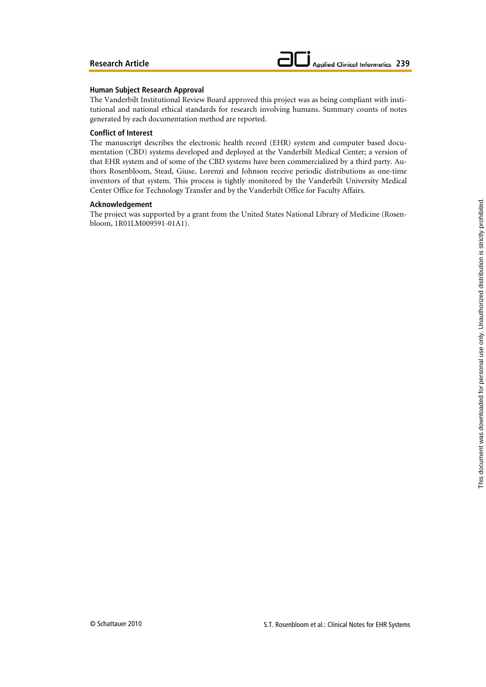## **Human Subject Research Approval**

The Vanderbilt Institutional Review Board approved this project was as being compliant with institutional and national ethical standards for research involving humans. Summary counts of notes generated by each documentation method are reported.

#### **Conflict of Interest**

The manuscript describes the electronic health record (EHR) system and computer based documentation (CBD) systems developed and deployed at the Vanderbilt Medical Center; a version of that EHR system and of some of the CBD systems have been commercialized by a third party. Authors Rosenbloom, Stead, Giuse, Lorenzi and Johnson receive periodic distributions as one-time inventors of that system. This process is tightly monitored by the Vanderbilt University Medical Center Office for Technology Transfer and by the Vanderbilt Office for Faculty Affairs.

#### **Acknowledgement**

The project was supported by a grant from the United States National Library of Medicine (Rosenbloom, 1R01LM009591-01A1).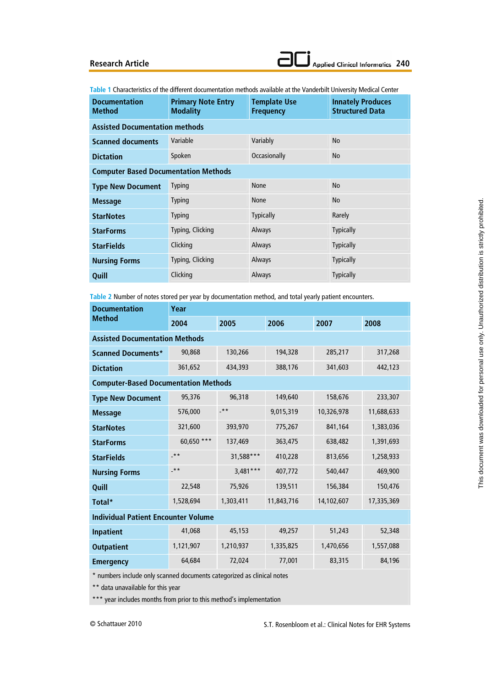**Table 1** Characteristics of the different documentation methods available at the Vanderbilt University Medical Center

| <b>Documentation</b><br><b>Method</b>       | <b>Primary Note Entry</b><br><b>Modality</b> | <b>Template Use</b><br><b>Frequency</b> | <b>Innately Produces</b><br><b>Structured Data</b> |  |  |  |  |
|---------------------------------------------|----------------------------------------------|-----------------------------------------|----------------------------------------------------|--|--|--|--|
| <b>Assisted Documentation methods</b>       |                                              |                                         |                                                    |  |  |  |  |
| <b>Scanned documents</b>                    | Variable                                     | Variably                                | <b>No</b>                                          |  |  |  |  |
| <b>Dictation</b>                            | Spoken                                       | Occasionally                            | <b>No</b>                                          |  |  |  |  |
| <b>Computer Based Documentation Methods</b> |                                              |                                         |                                                    |  |  |  |  |
| <b>Type New Document</b>                    | <b>Typing</b>                                | <b>None</b>                             | <b>No</b>                                          |  |  |  |  |
| <b>Message</b>                              | <b>Typing</b>                                | <b>None</b>                             | <b>No</b>                                          |  |  |  |  |
| <b>StarNotes</b>                            | <b>Typing</b>                                | <b>Typically</b>                        | Rarely                                             |  |  |  |  |
| <b>StarForms</b>                            | Typing, Clicking                             | Always                                  | <b>Typically</b>                                   |  |  |  |  |
| <b>StarFields</b>                           | Clicking                                     | Always                                  | <b>Typically</b>                                   |  |  |  |  |
| <b>Nursing Forms</b>                        | Typing, Clicking                             | Always                                  | <b>Typically</b>                                   |  |  |  |  |
| Quill                                       | Clicking                                     | Always                                  | <b>Typically</b>                                   |  |  |  |  |

**Table 2** Number of notes stored per year by documentation method, and total yearly patient encounters.

| <b>Documentation</b><br><b>Method</b>       | Year       |            |            |            |            |  |  |
|---------------------------------------------|------------|------------|------------|------------|------------|--|--|
|                                             | 2004       | 2005       | 2006       | 2007       | 2008       |  |  |
| <b>Assisted Documentation Methods</b>       |            |            |            |            |            |  |  |
| <b>Scanned Documents*</b>                   | 90,868     | 130,266    | 194,328    | 285,217    | 317,268    |  |  |
| <b>Dictation</b>                            | 361,652    | 434,393    | 388,176    | 341,603    | 442,123    |  |  |
| <b>Computer-Based Documentation Methods</b> |            |            |            |            |            |  |  |
| <b>Type New Document</b>                    | 95,376     | 96,318     | 149,640    | 158,676    | 233,307    |  |  |
| <b>Message</b>                              | 576,000    | $.**$      | 9,015,319  | 10,326,978 | 11,688,633 |  |  |
| <b>StarNotes</b>                            | 321,600    | 393,970    | 775,267    | 841,164    | 1,383,036  |  |  |
| <b>StarForms</b>                            | 60,650 *** | 137,469    | 363,475    | 638,482    | 1,391,693  |  |  |
| <b>StarFields</b>                           | $$ **      | 31,588***  | 410,228    | 813,656    | 1,258,933  |  |  |
| <b>Nursing Forms</b>                        | $.**$      | $3,481***$ | 407,772    | 540,447    | 469,900    |  |  |
| Quill                                       | 22,548     | 75,926     | 139,511    | 156,384    | 150,476    |  |  |
| Total*                                      | 1,528,694  | 1,303,411  | 11,843,716 | 14,102,607 | 17,335,369 |  |  |
| <b>Individual Patient Encounter Volume</b>  |            |            |            |            |            |  |  |
| Inpatient                                   | 41,068     | 45,153     | 49,257     | 51,243     | 52,348     |  |  |
| <b>Outpatient</b>                           | 1,121,907  | 1,210,937  | 1,335,825  | 1,470,656  | 1,557,088  |  |  |
| <b>Emergency</b>                            | 64,684     | 72,024     | 77,001     | 83,315     | 84,196     |  |  |
|                                             |            |            |            |            |            |  |  |

\* numbers include only scanned documents categorized as clinical notes

\*\* data unavailable for this year

\*\*\* year includes months from prior to this method's implementation

S.T. Rosenbloom et al.: Clinical Notes for EHR Systems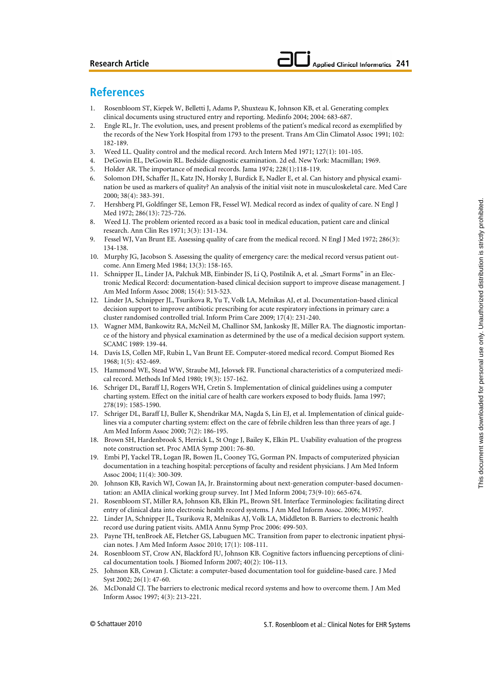# **References**

- 1. Rosenbloom ST, Kiepek W, Belletti J, Adams P, Shuxteau K, Johnson KB, et al. Generating complex clinical documents using structured entry and reporting. Medinfo 2004; 2004: 683-687.
- 2. Engle RL, Jr. The evolution, uses, and present problems of the patient's medical record as exemplified by the records of the New York Hospital from 1793 to the present. Trans Am Clin Climatol Assoc 1991; 102: 182-189.
- 3. Weed LL. Quality control and the medical record. Arch Intern Med 1971; 127(1): 101-105.
- 4. DeGowin EL, DeGowin RL. Bedside diagnostic examination. 2d ed. New York: Macmillan; 1969.
- 5. Holder AR. The importance of medical records. Jama 1974; 228(1):118-119.
- 6. Solomon DH, Schaffer JL, Katz JN, Horsky J, Burdick E, Nadler E, et al. Can history and physical examination be used as markers of quality? An analysis of the initial visit note in musculoskeletal care. Med Care 2000; 38(4): 383-391.
- 7. Hershberg PI, Goldfinger SE, Lemon FR, Fessel WJ. Medical record as index of quality of care. N Engl J Med 1972; 286(13): 725-726.
- 8. Weed LJ. The problem oriented record as a basic tool in medical education, patient care and clinical research. Ann Clin Res 1971; 3(3): 131-134.
- 9. Fessel WJ, Van Brunt EE. Assessing quality of care from the medical record. N Engl J Med 1972; 286(3): 134-138.
- 10. Murphy JG, Jacobson S. Assessing the quality of emergency care: the medical record versus patient outcome. Ann Emerg Med 1984; 13(3): 158-165.
- 11. Schnipper JL, Linder JA, Palchuk MB, Einbinder JS, Li Q, Postilnik A, et al. "Smart Forms" in an Electronic Medical Record: documentation-based clinical decision support to improve disease management. J Am Med Inform Assoc 2008; 15(4): 513-523.
- 12. Linder JA, Schnipper JL, Tsurikova R, Yu T, Volk LA, Melnikas AJ, et al. Documentation-based clinical decision support to improve antibiotic prescribing for acute respiratory infections in primary care: a cluster randomised controlled trial. Inform Prim Care 2009; 17(4): 231-240.
- 13. Wagner MM, Bankowitz RA, McNeil M, Challinor SM, Jankosky JE, Miller RA. The diagnostic importance of the history and physical examination as determined by the use of a medical decision support system. SCAMC 1989: 139-44.
- 14. Davis LS, Collen MF, Rubin L, Van Brunt EE. Computer-stored medical record. Comput Biomed Res 1968; 1(5): 452-469.
- 15. Hammond WE, Stead WW, Straube MJ, Jelovsek FR. Functional characteristics of a computerized medical record. Methods Inf Med 1980; 19(3): 157-162.
- 16. Schriger DL, Baraff LJ, Rogers WH, Cretin S. Implementation of clinical guidelines using a computer charting system. Effect on the initial care of health care workers exposed to body fluids. Jama 1997; 278(19): 1585-1590.
- 17. Schriger DL, Baraff LJ, Buller K, Shendrikar MA, Nagda S, Lin EJ, et al. Implementation of clinical guidelines via a computer charting system: effect on the care of febrile children less than three years of age. J Am Med Inform Assoc 2000; 7(2): 186-195.
- 18. Brown SH, Hardenbrook S, Herrick L, St Onge J, Bailey K, Elkin PL. Usability evaluation of the progress note construction set. Proc AMIA Symp 2001: 76-80.
- 19. Embi PJ, Yackel TR, Logan JR, Bowen JL, Cooney TG, Gorman PN. Impacts of computerized physician documentation in a teaching hospital: perceptions of faculty and resident physicians. J Am Med Inform Assoc 2004; 11(4): 300-309.
- 20. Johnson KB, Ravich WJ, Cowan JA, Jr. Brainstorming about next-generation computer-based documentation: an AMIA clinical working group survey. Int J Med Inform 2004; 73(9-10): 665-674.
- 21. Rosenbloom ST, Miller RA, Johnson KB, Elkin PL, Brown SH. Interface Terminologies: facilitating direct entry of clinical data into electronic health record systems. J Am Med Inform Assoc. 2006; M1957.
- 22. Linder JA, Schnipper JL, Tsurikova R, Melnikas AJ, Volk LA, Middleton B. Barriers to electronic health record use during patient visits. AMIA Annu Symp Proc 2006: 499-503.
- 23. Payne TH, tenBroek AE, Fletcher GS, Labuguen MC. Transition from paper to electronic inpatient physician notes. J Am Med Inform Assoc 2010; 17(1): 108-111.
- 24. Rosenbloom ST, Crow AN, Blackford JU, Johnson KB. Cognitive factors influencing perceptions of clinical documentation tools. J Biomed Inform 2007; 40(2): 106-113.
- 25. Johnson KB, Cowan J. Clictate: a computer-based documentation tool for guideline-based care. J Med Syst 2002; 26(1): 47-60.
- 26. McDonald CJ. The barriers to electronic medical record systems and how to overcome them. J Am Med Inform Assoc 1997; 4(3): 213-221.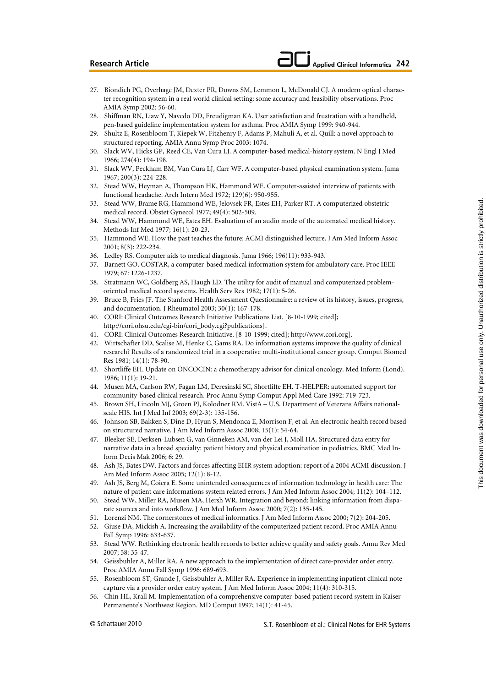- 27. Biondich PG, Overhage JM, Dexter PR, Downs SM, Lemmon L, McDonald CJ. A modern optical character recognition system in a real world clinical setting: some accuracy and feasibility observations. Proc AMIA Symp 2002: 56-60.
- 28. Shiffman RN, Liaw Y, Navedo DD, Freudigman KA. User satisfaction and frustration with a handheld, pen-based guideline implementation system for asthma. Proc AMIA Symp 1999: 940-944.
- 29. Shultz E, Rosenbloom T, Kiepek W, Fitzhenry F, Adams P, Mahuli A, et al. Quill: a novel approach to structured reporting. AMIA Annu Symp Proc 2003: 1074.
- 30. Slack WV, Hicks GP, Reed CE, Van Cura LJ. A computer-based medical-history system. N Engl J Med 1966; 274(4): 194-198.
- 31. Slack WV, Peckham BM, Van Cura LJ, Carr WF. A computer-based physical examination system. Jama 1967; 200(3): 224-228.
- 32. Stead WW, Heyman A, Thompson HK, Hammond WE. Computer-assisted interview of patients with functional headache. Arch Intern Med 1972; 129(6): 950-955.
- 33. Stead WW, Brame RG, Hammond WE, Jelovsek FR, Estes EH, Parker RT. A computerized obstetric medical record. Obstet Gynecol 1977; 49(4): 502-509.
- 34. Stead WW, Hammond WE, Estes EH. Evaluation of an audio mode of the automated medical history. Methods Inf Med 1977; 16(1): 20-23.
- 35. Hammond WE. How the past teaches the future: ACMI distinguished lecture. J Am Med Inform Assoc 2001; 8(3): 222-234.
- 36. Ledley RS. Computer aids to medical diagnosis. Jama 1966; 196(11): 933-943.
- 37. Barnett GO. COSTAR, a computer-based medical information system for ambulatory care. Proc IEEE 1979; 67: 1226-1237.
- 38. Stratmann WC, Goldberg AS, Haugh LD. The utility for audit of manual and computerized problemoriented medical record systems. Health Serv Res 1982; 17(1): 5-26.
- 39. Bruce B, Fries JF. The Stanford Health Assessment Questionnaire: a review of its history, issues, progress, and documentation. J Rheumatol 2003; 30(1): 167-178.
- 40. CORI: Clinical Outcomes Research Initiative Publications List. [8-10-1999; cited]; http://cori.ohsu.edu/cgi-bin/cori\_body.cgi?publications].
- 41. CORI: Clinical Outcomes Research Initiative. [8-10-1999; cited]; http://www.cori.org].
- 42. Wirtschafter DD, Scalise M, Henke C, Gams RA. Do information systems improve the quality of clinical research? Results of a randomized trial in a cooperative multi-institutional cancer group. Comput Biomed Res 1981; 14(1): 78-90.
- 43. Shortliffe EH. Update on ONCOCIN: a chemotherapy advisor for clinical oncology. Med Inform (Lond). 1986; 11(1): 19-21.
- 44. Musen MA, Carlson RW, Fagan LM, Deresinski SC, Shortliffe EH. T-HELPER: automated support for community-based clinical research. Proc Annu Symp Comput Appl Med Care 1992: 719-723.
- 45. Brown SH, Lincoln MJ, Groen PJ, Kolodner RM. VistA U.S. Department of Veterans Affairs nationalscale HIS. Int J Med Inf 2003; 69(2-3): 135-156.
- 46. Johnson SB, Bakken S, Dine D, Hyun S, Mendonca E, Morrison F, et al. An electronic health record based on structured narrative. J Am Med Inform Assoc 2008; 15(1): 54-64.
- 47. Bleeker SE, Derksen-Lubsen G, van Ginneken AM, van der Lei J, Moll HA. Structured data entry for narrative data in a broad specialty: patient history and physical examination in pediatrics. BMC Med Inform Decis Mak 2006; 6: 29.
- 48. Ash JS, Bates DW. Factors and forces affecting EHR system adoption: report of a 2004 ACMI discussion. J Am Med Inform Assoc 2005; 12(1): 8-12.
- 49. Ash JS, Berg M, Coiera E. Some unintended consequences of information technology in health care: The nature of patient care informations system related errors. J Am Med Inform Assoc 2004; 11(2): 104–112.
- 50. Stead WW, Miller RA, Musen MA, Hersh WR. Integration and beyond: linking information from disparate sources and into workflow. J Am Med Inform Assoc 2000; 7(2): 135-145.
- 51. Lorenzi NM. The cornerstones of medical informatics. J Am Med Inform Assoc 2000; 7(2): 204-205.
- 52. Giuse DA, Mickish A. Increasing the availability of the computerized patient record. Proc AMIA Annu Fall Symp 1996: 633-637.
- 53. Stead WW. Rethinking electronic health records to better achieve quality and safety goals. Annu Rev Med 2007; 58: 35-47.
- 54. Geissbuhler A, Miller RA. A new approach to the implementation of direct care-provider order entry. Proc AMIA Annu Fall Symp 1996: 689-693.
- 55. Rosenbloom ST, Grande J, Geissbuhler A, Miller RA. Experience in implementing inpatient clinical note capture via a provider order entry system. J Am Med Inform Assoc 2004; 11(4): 310-315.
- 56. Chin HL, Krall M. Implementation of a comprehensive computer-based patient record system in Kaiser Permanente's Northwest Region. MD Comput 1997; 14(1): 41-45.